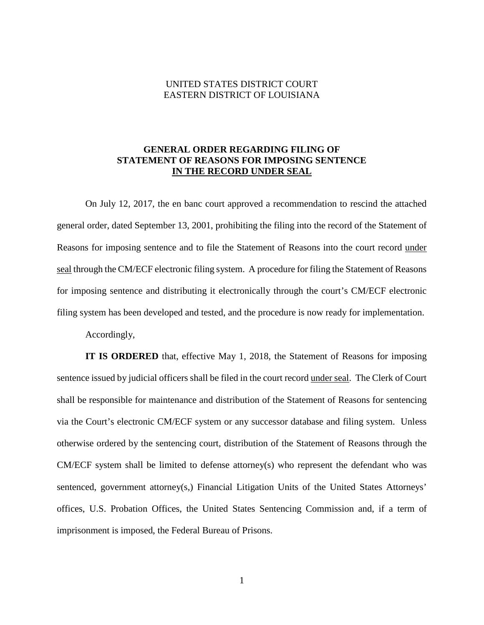### UNITED STATES DISTRICT COURT EASTERN DISTRICT OF LOUISIANA

## **GENERAL ORDER REGARDING FILING OF STATEMENT OF REASONS FOR IMPOSING SENTENCE IN THE RECORD UNDER SEAL**

On July 12, 2017, the en banc court approved a recommendation to rescind the attached general order, dated September 13, 2001, prohibiting the filing into the record of the Statement of Reasons for imposing sentence and to file the Statement of Reasons into the court record under seal through the CM/ECF electronic filing system. A procedure for filing the Statement of Reasons for imposing sentence and distributing it electronically through the court's CM/ECF electronic filing system has been developed and tested, and the procedure is now ready for implementation.

Accordingly,

**IT IS ORDERED** that, effective May 1, 2018, the Statement of Reasons for imposing sentence issued by judicial officers shall be filed in the court record under seal. The Clerk of Court shall be responsible for maintenance and distribution of the Statement of Reasons for sentencing via the Court's electronic CM/ECF system or any successor database and filing system. Unless otherwise ordered by the sentencing court, distribution of the Statement of Reasons through the CM/ECF system shall be limited to defense attorney(s) who represent the defendant who was sentenced, government attorney(s,) Financial Litigation Units of the United States Attorneys' offices, U.S. Probation Offices, the United States Sentencing Commission and, if a term of imprisonment is imposed, the Federal Bureau of Prisons.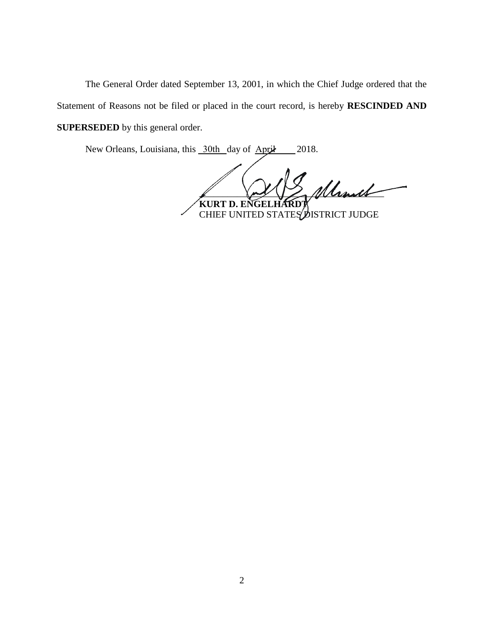The General Order dated September 13, 2001, in which the Chief Judge ordered that the Statement of Reasons not be filed or placed in the court record, is hereby **RESCINDED AND SUPERSEDED** by this general order.

New Orleans, Louisiana, this 30th day of April 2018.

 $\mathscr{M}\mathscr{M}\mathscr{M}$ **KURT D. ENGELHARDT**

CHIEF UNITED STATES DISTRICT JUDGE